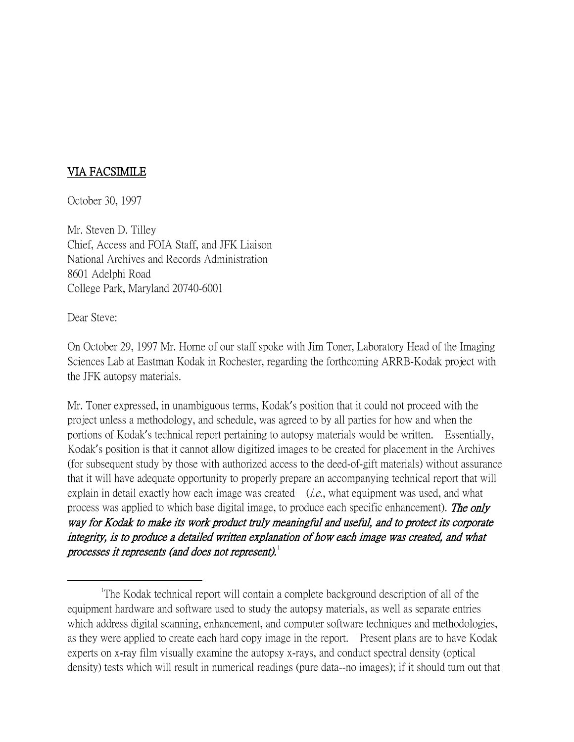## VIA FACSIMILE

October 30, 1997

Mr. Steven D. Tilley Chief, Access and FOIA Staff, and JFK Liaison National Archives and Records Administration 8601 Adelphi Road College Park, Maryland 20740-6001

Dear Steve:

On October 29, 1997 Mr. Horne of our staff spoke with Jim Toner, Laboratory Head of the Imaging Sciences Lab at Eastman Kodak in Rochester, regarding the forthcoming ARRB-Kodak project with the JFK autopsy materials.

Mr. Toner expressed, in unambiguous terms, Kodak's position that it could not proceed with the project unless a methodology, and schedule, was agreed to by all parties for how and when the portions of Kodak's technical report pertaining to autopsy materials would be written. Essentially, Kodak's position is that it cannot allow digitized images to be created for placement in the Archives (for subsequent study by those with authorized access to the deed-of-gift materials) without assurance that it will have adequate opportunity to properly prepare an accompanying technical report that will explain in detail exactly how each image was created  $(i.e.,$  what equipment was used, and what process was applied to which base digital image, to produce each specific enhancement). The only way for Kodak to make its work product truly meaningful and useful, and to protect its corporate integrity, is to produce a detailed written explanation of how each image was created, and what processes it represents (and does not represent). $1$ 

<span id="page-0-0"></span> $\overline{\phantom{a}}$ The Kodak technical report will contain a complete background description of all of the equipment hardware and software used to study the autopsy materials, as well as separate entries which address digital scanning, enhancement, and computer software techniques and methodologies, as they were applied to create each hard copy image in the report. Present plans are to have Kodak experts on x-ray film visually examine the autopsy x-rays, and conduct spectral density (optical density) tests which will result in numerical readings (pure data--no images); if it should turn out that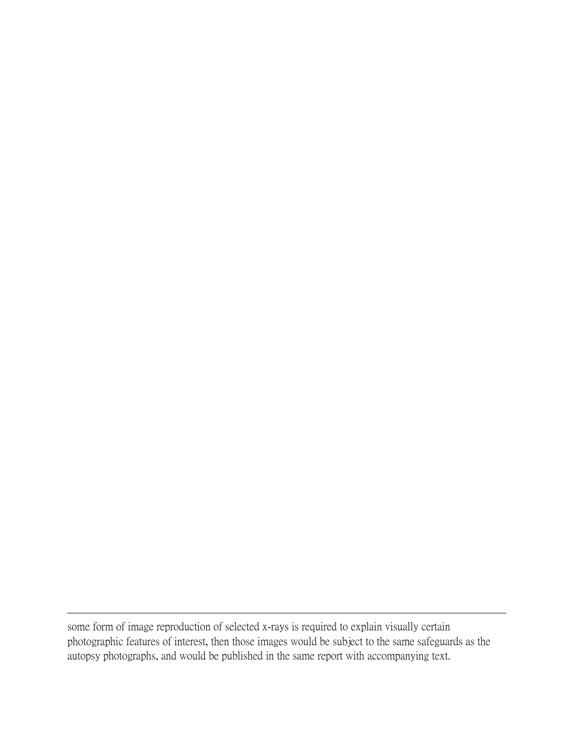some form of image reproduction of selected x-rays is required to explain visually certain photographic features of interest, then those images would be subject to the same safeguards as the autopsy photographs, and would be published in the same report with accompanying text.

 $\overline{a}$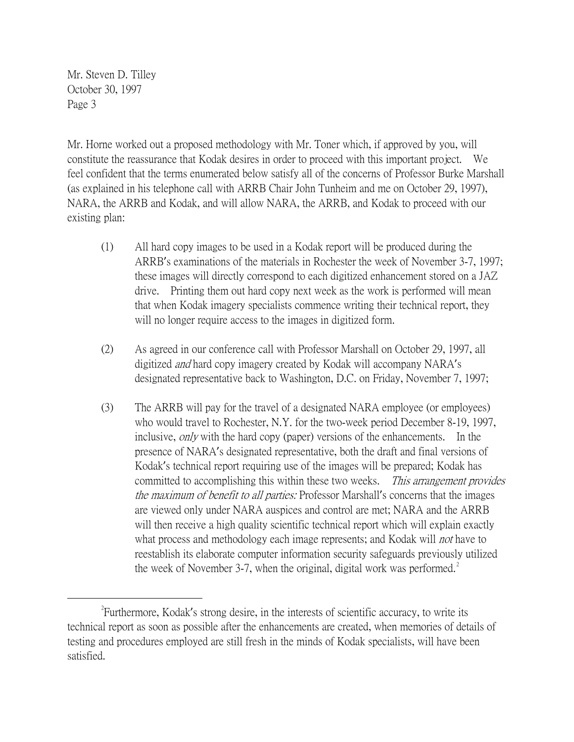Mr. Steven D. Tilley October 30, 1997 Page 3

Mr. Horne worked out a proposed methodology with Mr. Toner which, if approved by you, will constitute the reassurance that Kodak desires in order to proceed with this important project. We feel confident that the terms enumerated below satisfy all of the concerns of Professor Burke Marshall (as explained in his telephone call with ARRB Chair John Tunheim and me on October 29, 1997), NARA, the ARRB and Kodak, and will allow NARA, the ARRB, and Kodak to proceed with our existing plan:

- (1) All hard copy images to be used in a Kodak report will be produced during the ARRB's examinations of the materials in Rochester the week of November 3-7, 1997; these images will directly correspond to each digitized enhancement stored on a JAZ drive. Printing them out hard copy next week as the work is performed will mean that when Kodak imagery specialists commence writing their technical report, they will no longer require access to the images in digitized form.
- (2) As agreed in our conference call with Professor Marshall on October 29, 1997, all digitized and hard copy imagery created by Kodak will accompany NARA's designated representative back to Washington, D.C. on Friday, November 7, 1997;
- (3) The ARRB will pay for the travel of a designated NARA employee (or employees) who would travel to Rochester, N.Y. for the two-week period December 8-19, 1997, inclusive, *only* with the hard copy (paper) versions of the enhancements. In the presence of NARA's designated representative, both the draft and final versions of Kodak's technical report requiring use of the images will be prepared; Kodak has committed to accomplishing this within these two weeks. This arrangement provides the maximum of benefit to all parties: Professor Marshall's concerns that the images are viewed only under NARA auspices and control are met; NARA and the ARRB will then receive a high quality scientific technical report which will explain exactly what process and methodology each image represents; and Kodak will *not* have to reestablish its elaborate computer information security safeguards previously utilized the week of November 3-7, when the original, digital work was performed.<sup>[2](#page-2-0)</sup>

<span id="page-2-0"></span> $\overline{\phantom{a}}$   $\overline{\phantom{a}}$   $\overline{\phantom{a}}$   $\overline{\phantom{a}}$ Furthermore, Kodak's strong desire, in the interests of scientific accuracy, to write its technical report as soon as possible after the enhancements are created, when memories of details of testing and procedures employed are still fresh in the minds of Kodak specialists, will have been satisfied.